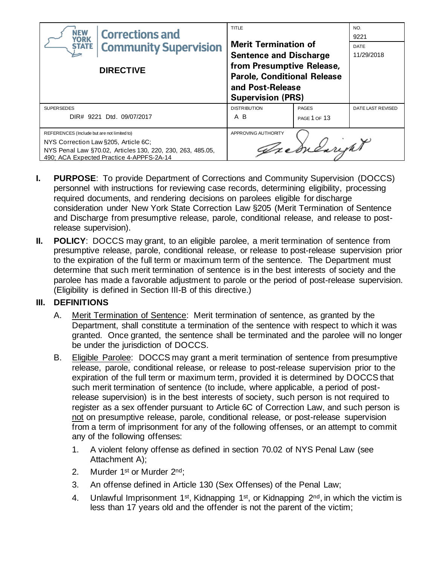| <b>NEW</b><br><b>Corrections and</b><br><b>YORK</b><br><b>Community Supervision</b><br><b>STATE</b><br><b>DIRECTIVE</b>                                                                       | <b>TITLE</b><br><b>Merit Termination of</b><br><b>Sentence and Discharge</b><br>from Presumptive Release,<br><b>Parole, Conditional Release</b><br>and Post-Release<br><b>Supervision (PRS)</b> |                              | NO.<br>9221<br>DATE<br>11/29/2018 |
|-----------------------------------------------------------------------------------------------------------------------------------------------------------------------------------------------|-------------------------------------------------------------------------------------------------------------------------------------------------------------------------------------------------|------------------------------|-----------------------------------|
| <b>SUPERSEDES</b><br>DIR# 9221 Dtd. 09/07/2017                                                                                                                                                | <b>DISTRIBUTION</b><br>A B                                                                                                                                                                      | <b>PAGES</b><br>PAGE 1 OF 13 | DATE LAST REVISED                 |
| REFERENCES (Include but are not limited to)<br>NYS Correction Law §205, Article 6C;<br>NYS Penal Law §70.02, Articles 130, 220, 230, 263, 485.05,<br>490; ACA Expected Practice 4-APPFS-2A-14 | APPROVING AUTHORITY                                                                                                                                                                             | Treducturent                 |                                   |

- **I. PURPOSE**: To provide Department of Corrections and Community Supervision (DOCCS) personnel with instructions for reviewing case records, determining eligibility, processing required documents, and rendering decisions on parolees eligible for discharge consideration under New York State Correction Law §205 (Merit Termination of Sentence and Discharge from presumptive release, parole, conditional release, and release to postrelease supervision).
- **II. POLICY**: DOCCS may grant, to an eligible parolee, a merit termination of sentence from presumptive release, parole, conditional release, or release to post-release supervision prior to the expiration of the full term or maximum term of the sentence. The Department must determine that such merit termination of sentence is in the best interests of society and the parolee has made a favorable adjustment to parole or the period of post-release supervision. (Eligibility is defined in Section III-B of this directive.)

# **III. DEFINITIONS**

- A. Merit Termination of Sentence: Merit termination of sentence, as granted by the Department, shall constitute a termination of the sentence with respect to which it was granted. Once granted, the sentence shall be terminated and the parolee will no longer be under the jurisdiction of DOCCS.
- B. Eligible Parolee:DOCCS may grant a merit termination of sentence from presumptive release, parole, conditional release, or release to post-release supervision prior to the expiration of the full term or maximum term, provided it is determined by DOCCS that such merit termination of sentence (to include, where applicable, a period of postrelease supervision) is in the best interests of society, such person is not required to register as a sex offender pursuant to Article 6C of Correction Law, and such person is not on presumptive release, parole, conditional release, or post-release supervision from a term of imprisonment for any of the following offenses, or an attempt to commit any of the following offenses:
	- 1. A violent felony offense as defined in section 70.02 of NYS Penal Law (see Attachment A);
	- 2. Murder 1<sup>st</sup> or Murder 2<sup>nd</sup>;
	- 3. An offense defined in Article 130 (Sex Offenses) of the Penal Law;
	- 4. Unlawful Imprisonment 1<sup>st</sup>, Kidnapping 1<sup>st</sup>, or Kidnapping  $2<sup>nd</sup>$ , in which the victim is less than 17 years old and the offender is not the parent of the victim;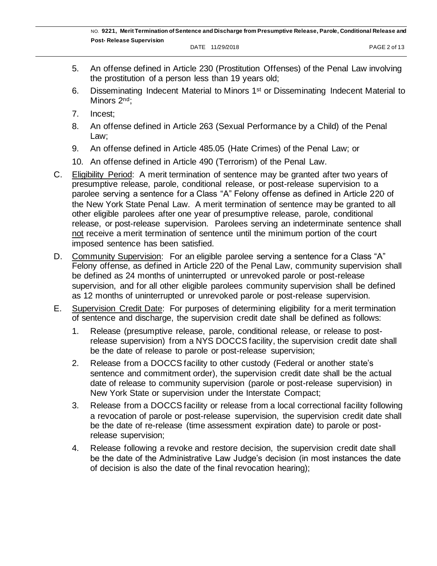- 5. An offense defined in Article 230 (Prostitution Offenses) of the Penal Law involving the prostitution of a person less than 19 years old;
- 6. Disseminating Indecent Material to Minors 1st or Disseminating Indecent Material to Minors 2<sup>nd</sup>:
- 7. Incest;
- 8. An offense defined in Article 263 (Sexual Performance by a Child) of the Penal Law;
- 9. An offense defined in Article 485.05 (Hate Crimes) of the Penal Law; or
- 10. An offense defined in Article 490 (Terrorism) of the Penal Law.
- C. Eligibility Period: A merit termination of sentence may be granted after two years of presumptive release, parole, conditional release, or post-release supervision to a parolee serving a sentence for a Class "A" Felony offense as defined in Article 220 of the New York State Penal Law. A merit termination of sentence may be granted to all other eligible parolees after one year of presumptive release, parole, conditional release, or post-release supervision. Parolees serving an indeterminate sentence shall not receive a merit termination of sentence until the minimum portion of the court imposed sentence has been satisfied.
- D. Community Supervision: For an eligible parolee serving a sentence for a Class "A" Felony offense, as defined in Article 220 of the Penal Law, community supervision shall be defined as 24 months of uninterrupted or unrevoked parole or post-release supervision, and for all other eligible parolees community supervision shall be defined as 12 months of uninterrupted or unrevoked parole or post-release supervision.
- E. Supervision Credit Date: For purposes of determining eligibility for a merit termination of sentence and discharge, the supervision credit date shall be defined as follows:
	- 1. Release (presumptive release, parole, conditional release, or release to postrelease supervision) from a NYS DOCCS facility, the supervision credit date shall be the date of release to parole or post-release supervision;
	- 2. Release from a DOCCS facility to other custody (Federal or another state's sentence and commitment order), the supervision credit date shall be the actual date of release to community supervision (parole or post-release supervision) in New York State or supervision under the Interstate Compact;
	- 3. Release from a DOCCS facility or release from a local correctional facility following a revocation of parole or post-release supervision, the supervision credit date shall be the date of re-release (time assessment expiration date) to parole or postrelease supervision;
	- 4. Release following a revoke and restore decision, the supervision credit date shall be the date of the Administrative Law Judge's decision (in most instances the date of decision is also the date of the final revocation hearing);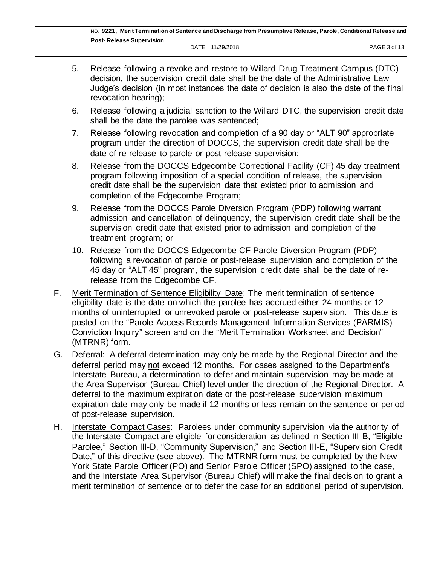- 5. Release following a revoke and restore to Willard Drug Treatment Campus (DTC) decision, the supervision credit date shall be the date of the Administrative Law Judge's decision (in most instances the date of decision is also the date of the final revocation hearing);
- 6. Release following a judicial sanction to the Willard DTC, the supervision credit date shall be the date the parolee was sentenced;
- 7. Release following revocation and completion of a 90 day or "ALT 90" appropriate program under the direction of DOCCS, the supervision credit date shall be the date of re-release to parole or post-release supervision;
- 8. Release from the DOCCS Edgecombe Correctional Facility (CF) 45 day treatment program following imposition of a special condition of release, the supervision credit date shall be the supervision date that existed prior to admission and completion of the Edgecombe Program;
- 9. Release from the DOCCS Parole Diversion Program (PDP) following warrant admission and cancellation of delinquency, the supervision credit date shall be the supervision credit date that existed prior to admission and completion of the treatment program; or
- 10. Release from the DOCCS Edgecombe CF Parole Diversion Program (PDP) following a revocation of parole or post-release supervision and completion of the 45 day or "ALT 45" program, the supervision credit date shall be the date of rerelease from the Edgecombe CF.
- F. Merit Termination of Sentence Eligibility Date: The merit termination of sentence eligibility date is the date on which the parolee has accrued either 24 months or 12 months of uninterrupted or unrevoked parole or post-release supervision. This date is posted on the "Parole Access Records Management Information Services (PARMIS) Conviction Inquiry" screen and on the "Merit Termination Worksheet and Decision" (MTRNR) form.
- G. Deferral: A deferral determination may only be made by the Regional Director and the deferral period may not exceed 12 months. For cases assigned to the Department's Interstate Bureau, a determination to defer and maintain supervision may be made at the Area Supervisor (Bureau Chief) level under the direction of the Regional Director. A deferral to the maximum expiration date or the post-release supervision maximum expiration date may only be made if 12 months or less remain on the sentence or period of post-release supervision.
- H. Interstate Compact Cases: Parolees under community supervision via the authority of the Interstate Compact are eligible for consideration as defined in Section III-B, "Eligible Parolee," Section III-D, "Community Supervision," and Section III-E, "Supervision Credit Date," of this directive (see above). The MTRNR form must be completed by the New York State Parole Officer (PO) and Senior Parole Officer (SPO) assigned to the case, and the Interstate Area Supervisor (Bureau Chief) will make the final decision to grant a merit termination of sentence or to defer the case for an additional period of supervision.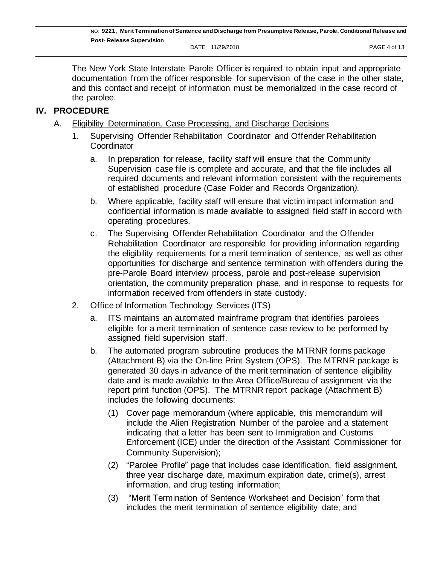DATE 11/29/2018 **PAGE 4 of 13** 

The New York State Interstate Parole Officer is required to obtain input and appropriate documentation from the officer responsible for supervision of the case in the other state, and this contact and receipt of information must be memorialized in the case record of the parolee.

## **IV. PROCEDURE**

- A. Eligibility Determination, Case Processing, and Discharge Decisions
	- 1. Supervising Offender Rehabilitation Coordinator and Offender Rehabilitation **Coordinator** 
		- a. In preparation for release, facility staff will ensure that the Community Supervision case file is complete and accurate, and that the file includes all required documents and relevant information consistent with the requirements of established procedure (Case Folder and Records Organization*).*
		- b. Where applicable, facility staff will ensure that victim impact information and confidential information is made available to assigned field staff in accord with operating procedures.
		- c. The Supervising Offender Rehabilitation Coordinator and the Offender Rehabilitation Coordinator are responsible for providing information regarding the eligibility requirements for a merit termination of sentence, as well as other opportunities for discharge and sentence termination with offenders during the pre-Parole Board interview process, parole and post-release supervision orientation, the community preparation phase, and in response to requests for information received from offenders in state custody.
	- 2. Office of Information Technology Services (ITS)
		- a. ITS maintains an automated mainframe program that identifies parolees eligible for a merit termination of sentence case review to be performed by assigned field supervision staff.
		- b. The automated program subroutine produces the MTRNR forms package (Attachment B) via the On-line Print System (OPS). The MTRNR package is generated 30 days in advance of the merit termination of sentence eligibility date and is made available to the Area Office/Bureau of assignment via the report print function (OPS). The MTRNR report package (Attachment B) includes the following documents:
			- (1) Cover page memorandum (where applicable, this memorandum will include the Alien Registration Number of the parolee and a statement indicating that a letter has been sent to Immigration and Customs Enforcement (ICE) under the direction of the Assistant Commissioner for Community Supervision);
			- (2) "Parolee Profile" page that includes case identification, field assignment, three year discharge date, maximum expiration date, crime(s), arrest information, and drug testing information;
			- (3) "Merit Termination of Sentence Worksheet and Decision" form that includes the merit termination of sentence eligibility date; and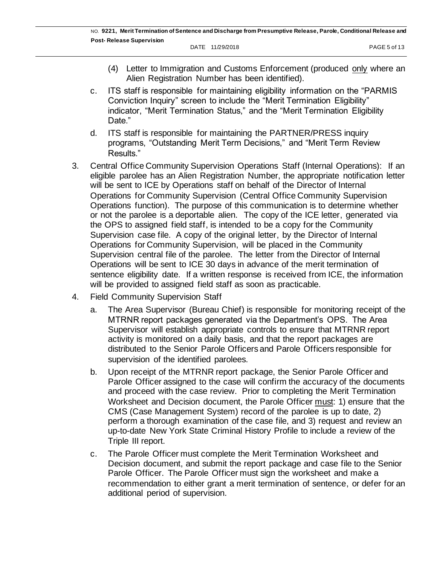- (4) Letter to Immigration and Customs Enforcement (produced only where an Alien Registration Number has been identified).
- c. ITS staff is responsible for maintaining eligibility information on the "PARMIS Conviction Inquiry" screen to include the "Merit Termination Eligibility" indicator, "Merit Termination Status," and the "Merit Termination Eligibility Date."
- d. ITS staff is responsible for maintaining the PARTNER/PRESS inquiry programs, "Outstanding Merit Term Decisions," and "Merit Term Review Results."
- 3. Central Office Community Supervision Operations Staff (Internal Operations): If an eligible parolee has an Alien Registration Number, the appropriate notification letter will be sent to ICE by Operations staff on behalf of the Director of Internal Operations for Community Supervision (Central Office Community Supervision Operations function). The purpose of this communication is to determine whether or not the parolee is a deportable alien. The copy of the ICE letter, generated via the OPS to assigned field staff, is intended to be a copy for the Community Supervision case file. A copy of the original letter, by the Director of Internal Operations for Community Supervision, will be placed in the Community Supervision central file of the parolee. The letter from the Director of Internal Operations will be sent to ICE 30 days in advance of the merit termination of sentence eligibility date. If a written response is received from ICE, the information will be provided to assigned field staff as soon as practicable.
- 4. Field Community Supervision Staff
	- a. The Area Supervisor (Bureau Chief) is responsible for monitoring receipt of the MTRNR report packages generated via the Department's OPS. The Area Supervisor will establish appropriate controls to ensure that MTRNR report activity is monitored on a daily basis, and that the report packages are distributed to the Senior Parole Officers and Parole Officers responsible for supervision of the identified parolees.
	- b. Upon receipt of the MTRNR report package, the Senior Parole Officer and Parole Officer assigned to the case will confirm the accuracy of the documents and proceed with the case review. Prior to completing the Merit Termination Worksheet and Decision document, the Parole Officer must: 1) ensure that the CMS (Case Management System) record of the parolee is up to date, 2) perform a thorough examination of the case file, and 3) request and review an up-to-date New York State Criminal History Profile to include a review of the Triple III report.
	- c. The Parole Officer must complete the Merit Termination Worksheet and Decision document, and submit the report package and case file to the Senior Parole Officer. The Parole Officer must sign the worksheet and make a recommendation to either grant a merit termination of sentence, or defer for an additional period of supervision.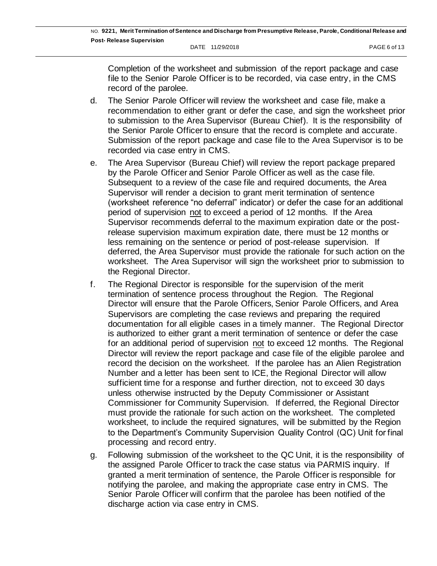Completion of the worksheet and submission of the report package and case file to the Senior Parole Officer is to be recorded, via case entry, in the CMS record of the parolee.

- d. The Senior Parole Officer will review the worksheet and case file, make a recommendation to either grant or defer the case, and sign the worksheet prior to submission to the Area Supervisor (Bureau Chief). It is the responsibility of the Senior Parole Officer to ensure that the record is complete and accurate. Submission of the report package and case file to the Area Supervisor is to be recorded via case entry in CMS.
- e. The Area Supervisor (Bureau Chief) will review the report package prepared by the Parole Officer and Senior Parole Officer as well as the case file. Subsequent to a review of the case file and required documents, the Area Supervisor will render a decision to grant merit termination of sentence (worksheet reference "no deferral" indicator) or defer the case for an additional period of supervision not to exceed a period of 12 months. If the Area Supervisor recommends deferral to the maximum expiration date or the postrelease supervision maximum expiration date, there must be 12 months or less remaining on the sentence or period of post-release supervision. If deferred, the Area Supervisor must provide the rationale for such action on the worksheet. The Area Supervisor will sign the worksheet prior to submission to the Regional Director.
- f. The Regional Director is responsible for the supervision of the merit termination of sentence process throughout the Region. The Regional Director will ensure that the Parole Officers, Senior Parole Officers, and Area Supervisors are completing the case reviews and preparing the required documentation for all eligible cases in a timely manner. The Regional Director is authorized to either grant a merit termination of sentence or defer the case for an additional period of supervision not to exceed 12 months. The Regional Director will review the report package and case file of the eligible parolee and record the decision on the worksheet. If the parolee has an Alien Registration Number and a letter has been sent to ICE, the Regional Director will allow sufficient time for a response and further direction, not to exceed 30 days unless otherwise instructed by the Deputy Commissioner or Assistant Commissioner for Community Supervision. If deferred, the Regional Director must provide the rationale for such action on the worksheet. The completed worksheet, to include the required signatures, will be submitted by the Region to the Department's Community Supervision Quality Control (QC) Unit for final processing and record entry.
- g. Following submission of the worksheet to the QC Unit, it is the responsibility of the assigned Parole Officer to track the case status via PARMIS inquiry. If granted a merit termination of sentence, the Parole Officer is responsible for notifying the parolee, and making the appropriate case entry in CMS. The Senior Parole Officer will confirm that the parolee has been notified of the discharge action via case entry in CMS.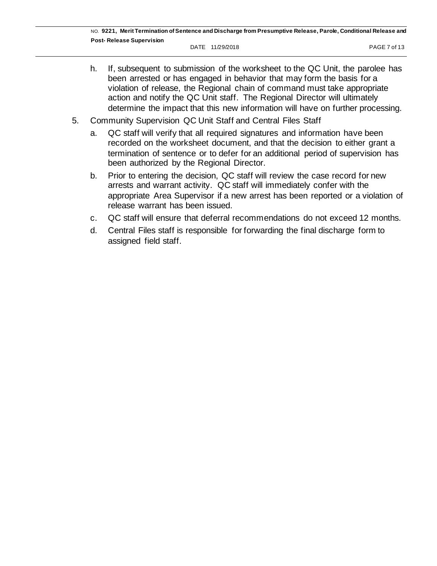- h. If, subsequent to submission of the worksheet to the QC Unit, the parolee has been arrested or has engaged in behavior that may form the basis for a violation of release, the Regional chain of command must take appropriate action and notify the QC Unit staff. The Regional Director will ultimately determine the impact that this new information will have on further processing.
- 5. Community Supervision QC Unit Staff and Central Files Staff
	- a. QC staff will verify that all required signatures and information have been recorded on the worksheet document, and that the decision to either grant a termination of sentence or to defer for an additional period of supervision has been authorized by the Regional Director.
	- b. Prior to entering the decision, QC staff will review the case record for new arrests and warrant activity. QC staff will immediately confer with the appropriate Area Supervisor if a new arrest has been reported or a violation of release warrant has been issued.
	- c. QC staff will ensure that deferral recommendations do not exceed 12 months.
	- d. Central Files staff is responsible for forwarding the final discharge form to assigned field staff.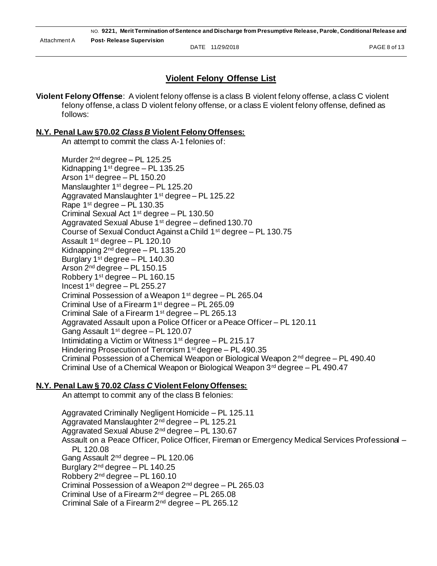NO. **9221, Merit Termination of Sentence and Discharge from Presumptive Release, Parole, Conditional Release and Post- Release Supervision** DATE 11/29/2018 **PAGE 8 of 13** Attachment A

# **Violent Felony Offense List**

**Violent Felony Offense**: A violent felony offense is a class B violent felony offense, a class C violent felony offense, a class D violent felony offense, or a class E violent felony offense, defined as follows:

#### **N.Y. Penal Law §70.02** *Class B* **Violent Felony Offenses:**

An attempt to commit the class A-1 felonies of:

Murder 2nd degree – PL 125.25 Kidnapping  $1<sup>st</sup>$  degree – PL 135.25 Arson 1st degree – PL 150.20 Manslaughter 1<sup>st</sup> degree - PL 125.20 Aggravated Manslaughter 1<sup>st</sup> degree – PL 125.22 Rape 1st degree – PL 130.35 Criminal Sexual Act 1st degree – PL 130.50 Aggravated Sexual Abuse 1st degree – defined 130.70 Course of Sexual Conduct Against a Child 1st degree – PL 130.75 Assault 1st degree – PL 120.10 Kidnapping  $2^{nd}$  degree – PL 135.20 Burglary 1st degree – PL 140.30 Arson 2nd degree – PL 150.15 Robbery  $1<sup>st</sup>$  degree – PL 160.15 Incest  $1<sup>st</sup>$  degree – PL 255.27 Criminal Possession of a Weapon  $1<sup>st</sup>$  degree – PL 265.04 Criminal Use of a Firearm 1st degree – PL 265.09 Criminal Sale of a Firearm  $1<sup>st</sup>$  degree – PL 265.13 Aggravated Assault upon a Police Officer or a Peace Officer – PL 120.11 Gang Assault 1st degree – PL 120.07 Intimidating a Victim or Witness 1st degree – PL 215.17 Hindering Prosecution of Terrorism 1st degree – PL 490.35 Criminal Possession of a Chemical Weapon or Biological Weapon 2nd degree – PL 490.40 Criminal Use of a Chemical Weapon or Biological Weapon  $3<sup>rd</sup>$  degree – PL 490.47

### **N.Y. Penal Law § 70.02** *Class C* **Violent Felony Offenses:**

An attempt to commit any of the class B felonies:

Aggravated Criminally Negligent Homicide – PL 125.11 Aggravated Manslaughter 2nd degree – PL 125.21 Aggravated Sexual Abuse  $2^{nd}$  degree – PL 130.67 Assault on a Peace Officer, Police Officer, Fireman or Emergency Medical Services Professional – PL 120.08 Gang Assault 2nd degree – PL 120.06 Burglary  $2^{nd}$  degree – PL 140.25 Robbery 2nd degree – PL 160.10 Criminal Possession of a Weapon  $2^{nd}$  degree – PL 265.03 Criminal Use of a Firearm  $2^{nd}$  degree  $-$  PL 265.08 Criminal Sale of a Firearm 2nd degree – PL 265.12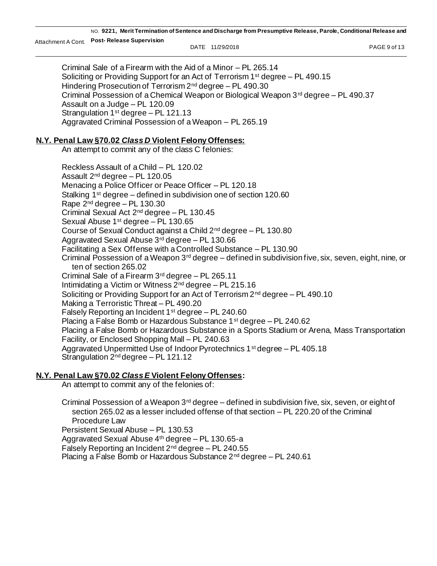NO. **9221, Merit Termination of Sentence and Discharge from Presumptive Release, Parole, Conditional Release and Post- Release Supervision** Attachment A Cont. DATE 11/29/2018 PAGE 9 of 13

Criminal Sale of a Firearm with the Aid of a Minor – PL 265.14 Soliciting or Providing Support for an Act of Terrorism 1st degree – PL 490.15 Hindering Prosecution of Terrorism 2<sup>nd</sup> degree - PL 490.30 Criminal Possession of a Chemical Weapon or Biological Weapon  $3^{rd}$  degree – PL 490.37 Assault on a Judge – PL 120.09 Strangulation  $1<sup>st</sup>$  degree – PL 121.13 Aggravated Criminal Possession of a Weapon – PL 265.19

#### **N.Y. Penal Law §70.02** *Class D* **Violent Felony Offenses:**

An attempt to commit any of the class C felonies:

Reckless Assault of a Child – PL 120.02 Assault 2nd degree – PL 120.05 Menacing a Police Officer or Peace Officer – PL 120.18 Stalking 1<sup>st</sup> degree – defined in subdivision one of section 120.60 Rape  $2<sup>nd</sup>$  degree – PL 130.30 Criminal Sexual Act 2nd degree – PL 130.45 Sexual Abuse 1st degree – PL 130.65 Course of Sexual Conduct against a Child 2nd degree – PL 130.80 Aggravated Sexual Abuse 3rd degree – PL 130.66 Facilitating a Sex Offense with a Controlled Substance – PL 130.90 Criminal Possession of a Weapon 3rd degree – defined in subdivision five, six, seven, eight, nine, or ten of section 265.02 Criminal Sale of a Firearm  $3<sup>rd</sup>$  degree – PL 265.11 Intimidating a Victim or Witness 2nd degree – PL 215.16 Soliciting or Providing Support for an Act of Terrorism  $2<sup>nd</sup>$  degree  $-$  PL 490.10 Making a Terroristic Threat – PL 490.20 Falsely Reporting an Incident  $1<sup>st</sup>$  degree – PL 240.60 Placing a False Bomb or Hazardous Substance 1st degree – PL 240.62 Placing a False Bomb or Hazardous Substance in a Sports Stadium or Arena, Mass Transportation Facility, or Enclosed Shopping Mall – PL 240.63 Aggravated Unpermitted Use of Indoor Pyrotechnics 1st degree – PL 405.18 Strangulation 2<sup>nd</sup> degree - PL 121.12

### **N.Y. Penal Law §70.02** *Class E* **Violent Felony Offenses:**

An attempt to commit any of the felonies of:

Criminal Possession of a Weapon  $3<sup>rd</sup>$  degree – defined in subdivision five, six, seven, or eight of section 265.02 as a lesser included offense of that section – PL 220.20 of the Criminal Procedure Law Persistent Sexual Abuse – PL 130.53 Aggravated Sexual Abuse 4th degree – PL 130.65-a Falsely Reporting an Incident  $2^{nd}$  degree – PL 240.55 Placing a False Bomb or Hazardous Substance 2nd degree – PL 240.61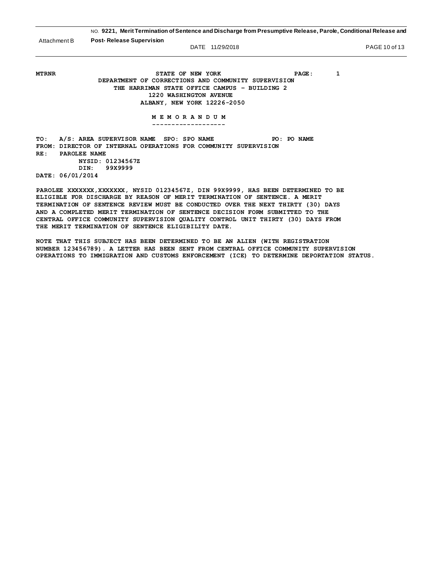|                     | NO. 9221, Merit Termination of Sentence and Discharge from Presumptive Release, Parole, Conditional Release and<br><b>Post-Release Supervision</b><br>Attachment B<br>DATE 11/29/2018                          |  |  |
|---------------------|----------------------------------------------------------------------------------------------------------------------------------------------------------------------------------------------------------------|--|--|
|                     |                                                                                                                                                                                                                |  |  |
| <b>MTRNR</b>        | STATE OF NEW YORK<br>PAGE:<br>1<br>DEPARTMENT OF CORRECTIONS AND COMMUNITY SUPERVISION<br>THE HARRIMAN STATE OFFICE CAMPUS - BUILDING 2<br>1220 WASHINGTON AVENUE<br>ALBANY, NEW YORK 12226-2050<br>MEMORANDUM |  |  |
| TO:<br>FROM:<br>RE: | A/S: AREA SUPERVISOR NAME SPO: SPO NAME<br>PO: PO NAME<br>DIRECTOR OF INTERNAL OPERATIONS FOR COMMUNITY SUPERVISION<br>PAROLEE NAME<br>NYSID: 01234567Z<br>99X9999<br>DIN:<br>DATE: 06/01/2014                 |  |  |

**PAROLEE XXXXXXX,XXXXXXX, NYSID 01234567Z, DIN 99X9999, HAS BEEN DETERMINED TO BE ELIGIBLE FOR DISCHARGE BY REASON OF MERIT TERMINATION OF SENTENCE. A MERIT TERMINATION OF SENTENCE REVIEW MUST BE CONDUCTED OVER THE NEXT THIRTY (30) DAYS AND A COMPLETED MERIT TERMINATION OF SENTENCE DECISION FORM SUBMITTED TO THE CENTRAL OFFICE COMMUNITY SUPERVISION QUALITY CONTROL UNIT THIRTY (30) DAYS FROM THE MERIT TERMINATION OF SENTENCE ELIGIBILITY DATE.** 

**NOTE THAT THIS SUBJECT HAS BEEN DETERMINED TO BE AN ALIEN (WITH REGISTRATION NUMBER 123456789). A LETTER HAS BEEN SENT FROM CENTRAL OFFICE COMMUNITY SUPERVISION OPERATIONS TO IMMIGRATION AND CUSTOMS ENFORCEMENT (ICE) TO DETERMINE DEPORTATION STATUS.**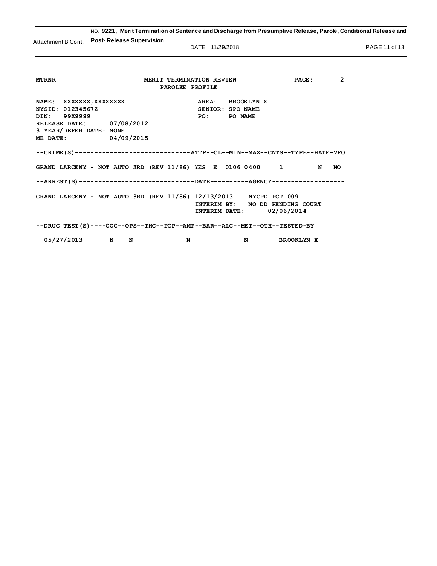NO. **9221, Merit Termination of Sentence and Discharge from Presumptive Release, Parole, Conditional Release and Post- Release Supervision** Attachment B Cont.

DATE 11/29/2018 **PAGE 11 of 13** 

| <b>MTRNR</b>                                                                      | $\overline{2}$<br>MERIT TERMINATION REVIEW<br>PAGE: |  |  |  |  |  |  |
|-----------------------------------------------------------------------------------|-----------------------------------------------------|--|--|--|--|--|--|
| PAROLEE PROFILE                                                                   |                                                     |  |  |  |  |  |  |
|                                                                                   |                                                     |  |  |  |  |  |  |
| NAME: XXXXXXX, XXXXXXXX                                                           | AREA: BROOKLYNX                                     |  |  |  |  |  |  |
| NYSID: 01234567Z                                                                  | <b>SENIOR: SPO NAME</b>                             |  |  |  |  |  |  |
| DIN: 99X9999                                                                      | <b>PO: PO NAME</b>                                  |  |  |  |  |  |  |
| RELEASE DATE: 07/08/2012                                                          |                                                     |  |  |  |  |  |  |
| 3 YEAR/DEFER DATE: NONE                                                           |                                                     |  |  |  |  |  |  |
| ME DATE: 04/09/2015                                                               |                                                     |  |  |  |  |  |  |
|                                                                                   |                                                     |  |  |  |  |  |  |
| --CRIME(S)-------------------------------ATTP--CL--MIN--MAX--CNTS--TYPE--HATE-VFO |                                                     |  |  |  |  |  |  |
|                                                                                   |                                                     |  |  |  |  |  |  |
| GRAND LARCENY - NOT AUTO 3RD (REV $11/86$ ) YES E 0106 0400 1                     | N<br>NO.                                            |  |  |  |  |  |  |
|                                                                                   |                                                     |  |  |  |  |  |  |
| --ARREST(S)----------------------------DATE--------AGENCY------------------       |                                                     |  |  |  |  |  |  |
|                                                                                   |                                                     |  |  |  |  |  |  |
| GRAND LARCENY - NOT AUTO 3RD (REV 11/86) 12/13/2013 NYCPD PCT 009                 |                                                     |  |  |  |  |  |  |
|                                                                                   | INTERIM BY: NO DD PENDING COURT                     |  |  |  |  |  |  |
|                                                                                   | INTERIM DATE: 02/06/2014                            |  |  |  |  |  |  |
|                                                                                   |                                                     |  |  |  |  |  |  |
| --DRUG TEST(S)----COC--OPS--THC--PCP--AMP--BAR--ALC--MET--OTH--TESTED-BY          |                                                     |  |  |  |  |  |  |
|                                                                                   |                                                     |  |  |  |  |  |  |
| 05/27/2013 N<br>N<br>N                                                            | N<br><b>BROOKLYN X</b>                              |  |  |  |  |  |  |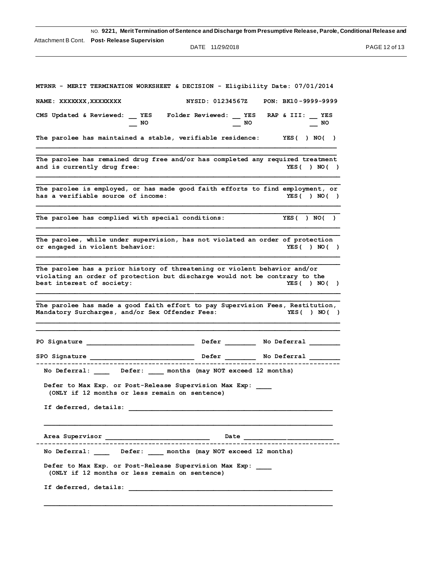| NO. 9221, Merit Termination of Sentence and Discharge from Presumptive Release, Parole, Conditional Release and                                                                                     |               |
|-----------------------------------------------------------------------------------------------------------------------------------------------------------------------------------------------------|---------------|
| Attachment B Cont.  Post- Release Supervision                                                                                                                                                       |               |
| DATE 11/29/2018                                                                                                                                                                                     | PAGE 12 of 13 |
|                                                                                                                                                                                                     |               |
|                                                                                                                                                                                                     |               |
| MTRNR - MERIT TERMINATION WORKSHEET & DECISION - Eligibility Date: 07/01/2014                                                                                                                       |               |
| NYSID: 01234567Z PON: BK10-9999-9999<br>NAME: XXXXXXX, XXXXXXXX                                                                                                                                     |               |
| CMS Updated & Reviewed: YES Folder Reviewed: YES RAP & III: YES<br>NO.<br>NO.<br>NO                                                                                                                 |               |
| The parolee has maintained a stable, verifiable residence: YES( ) NO( )                                                                                                                             |               |
| The parolee has remained drug free and/or has completed any required treatment<br>and is currently drug free:<br>YES() NO()                                                                         |               |
|                                                                                                                                                                                                     |               |
| The parolee is employed, or has made good faith efforts to find employment, or<br>has a verifiable source of income:<br>YES() NO()                                                                  |               |
| YES( ) NO( )<br>The parolee has complied with special conditions:                                                                                                                                   |               |
| The parolee, while under supervision, has not violated an order of protection<br>or engaged in violent behavior:<br>YES() NO()                                                                      |               |
| The parolee has a prior history of threatening or violent behavior and/or<br>violating an order of protection but discharge would not be contrary to the<br>best interest of society:<br>YES() NO() |               |
| The parolee has made a good faith effort to pay Supervision Fees, Restitution,<br>Mandatory Surcharges, and/or Sex Offender Fees:<br>YES () NO ()                                                   |               |
| PO Signature<br>Defer<br>No Deferral                                                                                                                                                                |               |
|                                                                                                                                                                                                     |               |
| No Deferral: _____ Defer: ____ months (may NOT exceed 12 months)                                                                                                                                    |               |
| Defer to Max Exp. or Post-Release Supervision Max Exp:<br>(ONLY if 12 months or less remain on sentence)                                                                                            |               |
|                                                                                                                                                                                                     |               |
|                                                                                                                                                                                                     |               |
| No Deferral: _____ Defer: ____ months (may NOT exceed 12 months)                                                                                                                                    |               |
| Defer to Max Exp. or Post-Release Supervision Max Exp:<br>(ONLY if 12 months or less remain on sentence)                                                                                            |               |
|                                                                                                                                                                                                     |               |
|                                                                                                                                                                                                     |               |